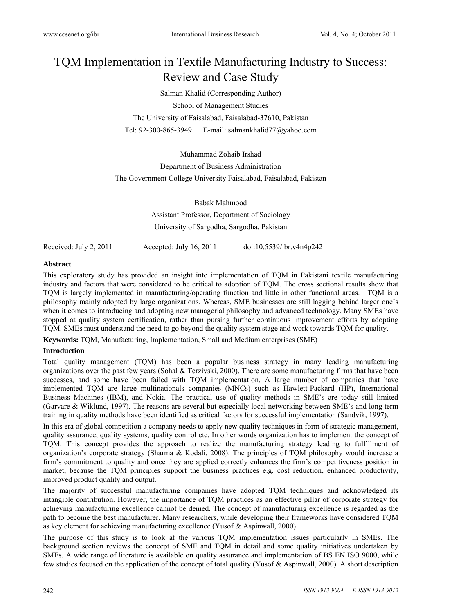# TQM Implementation in Textile Manufacturing Industry to Success: Review and Case Study

Salman Khalid (Corresponding Author) School of Management Studies The University of Faisalabad, Faisalabad-37610, Pakistan Tel: 92-300-865-3949 E-mail: salmankhalid77@yahoo.com

Muhammad Zohaib Irshad Department of Business Administration The Government College University Faisalabad, Faisalabad, Pakistan

> Babak Mahmood Assistant Professor, Department of Sociology University of Sargodha, Sargodha, Pakistan

Received: July 2, 2011 Accepted: July 16, 2011 doi:10.5539/ibr.v4n4p242

## **Abstract**

This exploratory study has provided an insight into implementation of TQM in Pakistani textile manufacturing industry and factors that were considered to be critical to adoption of TQM. The cross sectional results show that TQM is largely implemented in manufacturing/operating function and little in other functional areas. TQM is a philosophy mainly adopted by large organizations. Whereas, SME businesses are still lagging behind larger one's when it comes to introducing and adopting new managerial philosophy and advanced technology. Many SMEs have stopped at quality system certification, rather than pursing further continuous improvement efforts by adopting TQM. SMEs must understand the need to go beyond the quality system stage and work towards TQM for quality.

**Keywords:** TQM, Manufacturing, Implementation, Small and Medium enterprises (SME)

## **Introduction**

Total quality management (TQM) has been a popular business strategy in many leading manufacturing organizations over the past few years (Sohal & Terzivski, 2000). There are some manufacturing firms that have been successes, and some have been failed with TQM implementation. A large number of companies that have implemented TQM are large multinationals companies (MNCs) such as Hawlett-Packard (HP), International Business Machines (IBM), and Nokia. The practical use of quality methods in SME's are today still limited (Garvare & Wiklund, 1997). The reasons are several but especially local networking between SME's and long term training in quality methods have been identified as critical factors for successful implementation (Sandvik, 1997).

In this era of global competition a company needs to apply new quality techniques in form of strategic management, quality assurance, quality systems, quality control etc. In other words organization has to implement the concept of TQM. This concept provides the approach to realize the manufacturing strategy leading to fulfillment of organization's corporate strategy (Sharma & Kodali, 2008). The principles of TQM philosophy would increase a firm's commitment to quality and once they are applied correctly enhances the firm's competitiveness position in market, because the TQM principles support the business practices e.g. cost reduction, enhanced productivity, improved product quality and output.

The majority of successful manufacturing companies have adopted TQM techniques and acknowledged its intangible contribution. However, the importance of TQM practices as an effective pillar of corporate strategy for achieving manufacturing excellence cannot be denied. The concept of manufacturing excellence is regarded as the path to become the best manufacturer. Many researchers, while developing their frameworks have considered TQM as key element for achieving manufacturing excellence (Yusof & Aspinwall, 2000).

The purpose of this study is to look at the various TQM implementation issues particularly in SMEs. The background section reviews the concept of SME and TQM in detail and some quality initiatives undertaken by SMEs. A wide range of literature is available on quality assurance and implementation of BS EN ISO 9000, while few studies focused on the application of the concept of total quality (Yusof & Aspinwall, 2000). A short description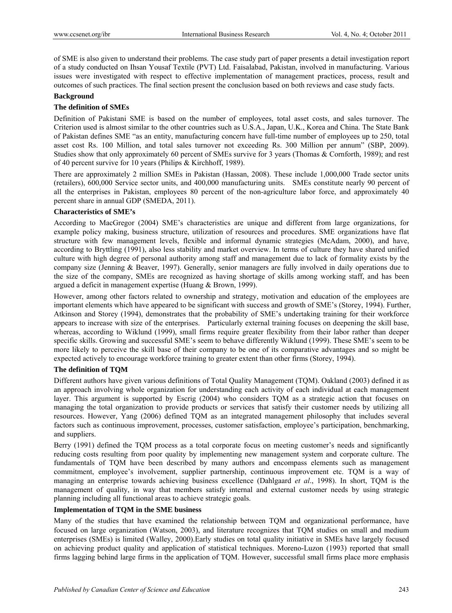of SME is also given to understand their problems. The case study part of paper presents a detail investigation report of a study conducted on Ihsan Yousaf Textile (PVT) Ltd. Faisalabad, Pakistan, involved in manufacturing. Various issues were investigated with respect to effective implementation of management practices, process, result and outcomes of such practices. The final section present the conclusion based on both reviews and case study facts.

## **Background**

## **The definition of SMEs**

Definition of Pakistani SME is based on the number of employees, total asset costs, and sales turnover. The Criterion used is almost similar to the other countries such as U.S.A., Japan, U.K., Korea and China. The State Bank of Pakistan defines SME "as an entity, manufacturing concern have full-time number of employees up to 250, total asset cost Rs. 100 Million, and total sales turnover not exceeding Rs. 300 Million per annum" (SBP, 2009). Studies show that only approximately 60 percent of SMEs survive for 3 years (Thomas & Cornforth, 1989); and rest of 40 percent survive for 10 years (Philips & Kirchhoff, 1989).

There are approximately 2 million SMEs in Pakistan (Hassan, 2008). These include 1,000,000 Trade sector units (retailers), 600,000 Service sector units, and 400,000 manufacturing units. SMEs constitute nearly 90 percent of all the enterprises in Pakistan, employees 80 percent of the non-agriculture labor force, and approximately 40 percent share in annual GDP (SMEDA, 2011).

## **Characteristics of SME's**

According to MacGregor (2004) SME's characteristics are unique and different from large organizations, for example policy making, business structure, utilization of resources and procedures. SME organizations have flat structure with few management levels, flexible and informal dynamic strategies (McAdam, 2000), and have, according to Bryttling (1991), also less stability and market overview. In terms of culture they have shared unified culture with high degree of personal authority among staff and management due to lack of formality exists by the company size (Jenning & Beaver, 1997). Generally, senior managers are fully involved in daily operations due to the size of the company, SMEs are recognized as having shortage of skills among working staff, and has been argued a deficit in management expertise (Huang & Brown, 1999).

However, among other factors related to ownership and strategy, motivation and education of the employees are important elements which have appeared to be significant with success and growth of SME's (Storey, 1994). Further, Atkinson and Storey (1994), demonstrates that the probability of SME's undertaking training for their workforce appears to increase with size of the enterprises. Particularly external training focuses on deepening the skill base, whereas, according to Wiklund (1999), small firms require greater flexibility from their labor rather than deeper specific skills. Growing and successful SME's seem to behave differently Wiklund (1999). These SME's seem to be more likely to perceive the skill base of their company to be one of its comparative advantages and so might be expected actively to encourage workforce training to greater extent than other firms (Storey, 1994).

# **The definition of TQM**

Different authors have given various definitions of Total Quality Management (TQM). Oakland (2003) defined it as an approach involving whole organization for understanding each activity of each individual at each management layer. This argument is supported by Escrig (2004) who considers TQM as a strategic action that focuses on managing the total organization to provide products or services that satisfy their customer needs by utilizing all resources. However, Yang (2006) defined TQM as an integrated management philosophy that includes several factors such as continuous improvement, processes, customer satisfaction, employee's participation, benchmarking, and suppliers.

Berry (1991) defined the TQM process as a total corporate focus on meeting customer's needs and significantly reducing costs resulting from poor quality by implementing new management system and corporate culture. The fundamentals of TQM have been described by many authors and encompass elements such as management commitment, employee's involvement, supplier partnership, continuous improvement etc. TQM is a way of managing an enterprise towards achieving business excellence (Dahlgaard *et al*., 1998). In short, TQM is the management of quality, in way that members satisfy internal and external customer needs by using strategic planning including all functional areas to achieve strategic goals.

# **Implementation of TQM in the SME business**

Many of the studies that have examined the relationship between TQM and organizational performance, have focused on large organization (Watson, 2003), and literature recognizes that TQM studies on small and medium enterprises (SMEs) is limited (Walley, 2000).Early studies on total quality initiative in SMEs have largely focused on achieving product quality and application of statistical techniques. Moreno-Luzon (1993) reported that small firms lagging behind large firms in the application of TQM. However, successful small firms place more emphasis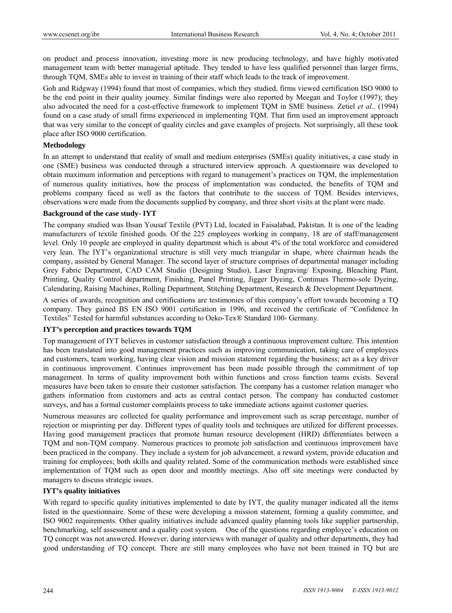on product and process innovation, investing more in new producing technology, and have highly motivated management team with better managerial aptitude. They tended to have less qualified personnel than larger firms, through TQM, SMEs able to invest in training of their staff which leads to the track of improvement.

Goh and Ridgway (1994) found that most of companies, which they studied, firms viewed certification ISO 9000 to be the end point in their quality journey. Similar findings were also reported by Meegan and Toylor (1997); they also advocated the need for a cost-effective framework to implement TQM in SME business. Zetiel *et al.,* (1994) found on a case study of small firms experienced in implementing TQM. That firm used an improvement approach that was very similar to the concept of quality circles and gave examples of projects. Not surprisingly, all these took place after ISO 9000 certification.

#### **Methodology**

In an attempt to understand that reality of small and medium enterprises (SMEs) quality initiatives, a case study in one (SME) business was conducted through a structured interview approach. A questionnaire was developed to obtain maximum information and perceptions with regard to management's practices on TQM, the implementation of numerous quality initiatives, how the process of implementation was conducted, the benefits of TQM and problems company faced as well as the factors that contribute to the success of TQM. Besides interviews, observations were made from the documents supplied by company, and three short visits at the plant were made.

#### **Background of the case study- IYT**

The company studied was Ihsan Yousaf Textile (PVT) Ltd, located in Faisalabad, Pakistan. It is one of the leading manufacturers of textile finished goods. Of the 225 employees working in company, 18 are of staff/management level. Only 10 people are employed in quality department which is about 4% of the total workforce and considered very lean. The IYT's organizational structure is still very much triangular in shape, where chairman heads the company, assisted by General Manager. The second layer of structure comprises of departmental manager including Grey Fabric Department, CAD CAM Studio (Designing Studio), Laser Engraving/ Exposing, Bleaching Plant, Printing, Quality Control department, Finishing, Panel Printing, Jigger Dyeing, Continues Thermo-sole Dyeing, Calendaring, Raising Machines, Rolling Department, Stitching Department, Research & Development Department.

A series of awards, recognition and certifications are testimonies of this company's effort towards becoming a TQ company. They gained BS EN ISO 9001 certification in 1996, and received the certificate of "Confidence In Textiles" Tested for harmful substances according to Oeko-Tex® Standard 100- Germany.

## **IYT's perception and practices towards TQM**

Top management of IYT believes in customer satisfaction through a continuous improvement culture. This intention has been translated into good management practices such as improving communication, taking care of employees and customers, team working, having clear vision and mission statement regarding the business; act as a key driver in continuous improvement. Continues improvement has been made possible through the commitment of top management. In terms of quality improvement both within functions and cross function teams exists. Several measures have been taken to ensure their customer satisfaction. The company has a customer relation manager who gathers information from customers and acts as central contact person. The company has conducted customer surveys, and has a formal customer complaints process to take immediate actions against customer queries.

Numerous measures are collected for quality performance and improvement such as scrap percentage, number of rejection or misprinting per day. Different types of quality tools and techniques are utilized for different processes. Having good management practices that promote human resource development (HRD) differentiates between a TQM and non-TQM company. Numerous practices to promote job satisfaction and continuous improvement have been practiced in the company. They include a system for job advancement, a reward system, provide education and training for employees; both skills and quality related. Some of the communication methods were established since implementation of TQM such as open door and monthly meetings. Also off site meetings were conducted by managers to discuss strategic issues.

## **IYT's quality initiatives**

With regard to specific quality initiatives implemented to date by IYT, the quality manager indicated all the items listed in the questionnaire. Some of these were developing a mission statement, forming a quality committee, and ISO 9002 requirements. Other quality initiatives include advanced quality planning tools like supplier partnership, benchmarking, self assessment and a quality cost system. One of the questions regarding employee's education on TQ concept was not answered. However, during interviews with manager of quality and other departments, they had good understanding of TQ concept. There are still many employees who have not been trained in TQ but are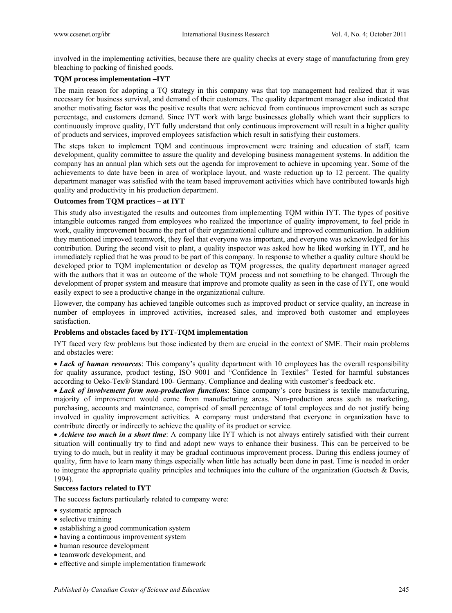involved in the implementing activities, because there are quality checks at every stage of manufacturing from grey bleaching to packing of finished goods.

# **TQM process implementation –IYT**

The main reason for adopting a TQ strategy in this company was that top management had realized that it was necessary for business survival, and demand of their customers. The quality department manager also indicated that another motivating factor was the positive results that were achieved from continuous improvement such as scrape percentage, and customers demand. Since IYT work with large businesses globally which want their suppliers to continuously improve quality, IYT fully understand that only continuous improvement will result in a higher quality of products and services, improved employees satisfaction which result in satisfying their customers.

The steps taken to implement TQM and continuous improvement were training and education of staff, team development, quality committee to assure the quality and developing business management systems. In addition the company has an annual plan which sets out the agenda for improvement to achieve in upcoming year. Some of the achievements to date have been in area of workplace layout, and waste reduction up to 12 percent. The quality department manager was satisfied with the team based improvement activities which have contributed towards high quality and productivity in his production department.

# **Outcomes from TQM practices – at IYT**

This study also investigated the results and outcomes from implementing TQM within IYT. The types of positive intangible outcomes ranged from employees who realized the importance of quality improvement, to feel pride in work, quality improvement became the part of their organizational culture and improved communication. In addition they mentioned improved teamwork, they feel that everyone was important, and everyone was acknowledged for his contribution. During the second visit to plant, a quality inspector was asked how he liked working in IYT, and he immediately replied that he was proud to be part of this company. In response to whether a quality culture should be developed prior to TQM implementation or develop as TQM progresses, the quality department manager agreed with the authors that it was an outcome of the whole TQM process and not something to be changed. Through the development of proper system and measure that improve and promote quality as seen in the case of IYT, one would easily expect to see a productive change in the organizational culture.

However, the company has achieved tangible outcomes such as improved product or service quality, an increase in number of employees in improved activities, increased sales, and improved both customer and employees satisfaction.

# **Problems and obstacles faced by IYT-TQM implementation**

IYT faced very few problems but those indicated by them are crucial in the context of SME. Their main problems and obstacles were:

 *Lack of human resources*: This company's quality department with 10 employees has the overall responsibility for quality assurance, product testing, ISO 9001 and "Confidence In Textiles" Tested for harmful substances according to Oeko-Tex® Standard 100- Germany. Compliance and dealing with customer's feedback etc.

 *Lack of involvement form non-production functions*: Since company's core business is textile manufacturing, majority of improvement would come from manufacturing areas. Non-production areas such as marketing, purchasing, accounts and maintenance, comprised of small percentage of total employees and do not justify being involved in quality improvement activities. A company must understand that everyone in organization have to contribute directly or indirectly to achieve the quality of its product or service.

 *Achieve too much in a short time*: A company like IYT which is not always entirely satisfied with their current situation will continually try to find and adopt new ways to enhance their business. This can be perceived to be trying to do much, but in reality it may be gradual continuous improvement process. During this endless journey of quality, firm have to learn many things especially when little has actually been done in past. Time is needed in order to integrate the appropriate quality principles and techniques into the culture of the organization (Goetsch & Davis, 1994).

## **Success factors related to IYT**

The success factors particularly related to company were:

- systematic approach
- selective training
- establishing a good communication system
- having a continuous improvement system
- human resource development
- teamwork development, and
- effective and simple implementation framework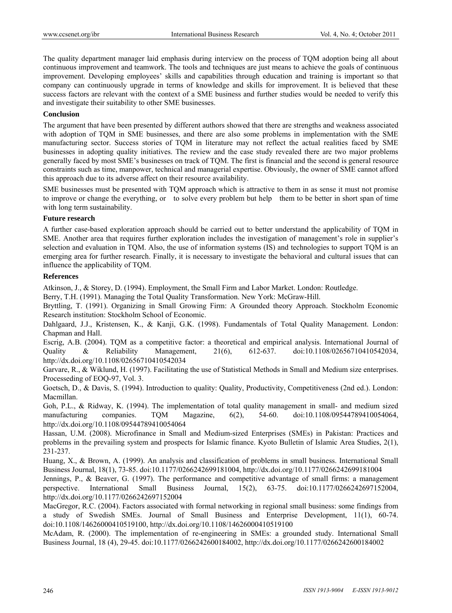The quality department manager laid emphasis during interview on the process of TQM adoption being all about continuous improvement and teamwork. The tools and techniques are just means to achieve the goals of continuous improvement. Developing employees' skills and capabilities through education and training is important so that company can continuously upgrade in terms of knowledge and skills for improvement. It is believed that these success factors are relevant with the context of a SME business and further studies would be needed to verify this and investigate their suitability to other SME businesses.

## **Conclusion**

The argument that have been presented by different authors showed that there are strengths and weakness associated with adoption of TQM in SME businesses, and there are also some problems in implementation with the SME manufacturing sector. Success stories of TQM in literature may not reflect the actual realities faced by SME businesses in adopting quality initiatives. The review and the case study revealed there are two major problems generally faced by most SME's businesses on track of TQM. The first is financial and the second is general resource constraints such as time, manpower, technical and managerial expertise. Obviously, the owner of SME cannot afford this approach due to its adverse affect on their resource availability.

SME businesses must be presented with TQM approach which is attractive to them in as sense it must not promise to improve or change the everything, or to solve every problem but help them to be better in short span of time with long term sustainability.

#### **Future research**

A further case-based exploration approach should be carried out to better understand the applicability of TQM in SME. Another area that requires further exploration includes the investigation of management's role in supplier's selection and evaluation in TQM. Also, the use of information systems (IS) and technologies to support TQM is an emerging area for further research. Finally, it is necessary to investigate the behavioral and cultural issues that can influence the applicability of TQM.

#### **References**

Atkinson, J., & Storey, D. (1994). Employment, the Small Firm and Labor Market. London: Routledge.

Berry, T.H. (1991). Managing the Total Quality Transformation. New York: McGraw-Hill.

Bryttling, T. (1991). Organizing in Small Growing Firm: A Grounded theory Approach. Stockholm Economic Research institution: Stockholm School of Economic.

Dahlgaard, J.J., Kristensen, K., & Kanji, G.K. (1998). Fundamentals of Total Quality Management. London: Chapman and Hall.

Escrig, A.B. (2004). TQM as a competitive factor: a theoretical and empirical analysis. International Journal of Quality & Reliability Management, 21(6), 612-637. doi:10.1108/02656710410542034, http://dx.doi.org/10.1108/02656710410542034

Garvare, R., & Wiklund, H. (1997). Facilitating the use of Statistical Methods in Small and Medium size enterprises. Processeding of EOQ-97, Vol. 3.

Goetsch, D., & Davis, S. (1994). Introduction to quality: Quality, Productivity, Competitiveness (2nd ed.). London: Macmillan.

Goh, P.L., & Ridway, K. (1994). The implementation of total quality management in small- and medium sized manufacturing companies. TQM Magazine, 6(2), 54-60. doi:10.1108/09544789410054064, http://dx.doi.org/10.1108/09544789410054064

Hassan, U.M. (2008). Microfinance in Small and Medium-sized Enterprises (SMEs) in Pakistan: Practices and problems in the prevailing system and prospects for Islamic finance. Kyoto Bulletin of Islamic Area Studies, 2(1), 231-237.

Huang, X., & Brown, A. (1999). An analysis and classification of problems in small business. International Small Business Journal, 18(1), 73-85. doi:10.1177/0266242699181004, http://dx.doi.org/10.1177/0266242699181004

Jennings, P., & Beaver, G. (1997). The performance and competitive advantage of small firms: a management perspective. International Small Business Journal, 15(2), 63-75. doi:10.1177/0266242697152004, http://dx.doi.org/10.1177/0266242697152004

MacGregor, R.C. (2004). Factors associated with formal networking in regional small business: some findings from a study of Swedish SMEs. Journal of Small Business and Enterprise Development, 11(1), 60-74. doi:10.1108/14626000410519100, http://dx.doi.org/10.1108/14626000410519100

McAdam, R. (2000). The implementation of re-engineering in SMEs: a grounded study. International Small Business Journal, 18 (4), 29-45. doi:10.1177/0266242600184002, http://dx.doi.org/10.1177/0266242600184002